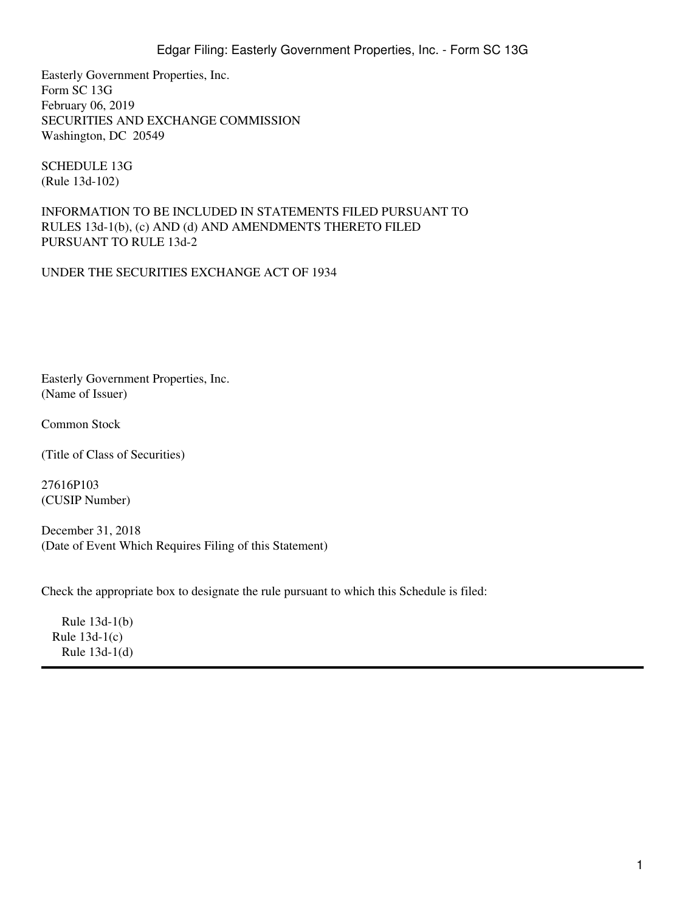Easterly Government Properties, Inc. Form SC 13G February 06, 2019 SECURITIES AND EXCHANGE COMMISSION Washington, DC 20549

SCHEDULE 13G (Rule 13d-102)

INFORMATION TO BE INCLUDED IN STATEMENTS FILED PURSUANT TO RULES 13d-1(b), (c) AND (d) AND AMENDMENTS THERETO FILED PURSUANT TO RULE 13d-2

UNDER THE SECURITIES EXCHANGE ACT OF 1934

Easterly Government Properties, Inc. (Name of Issuer)

Common Stock

(Title of Class of Securities)

27616P103 (CUSIP Number)

December 31, 2018 (Date of Event Which Requires Filing of this Statement)

Check the appropriate box to designate the rule pursuant to which this Schedule is filed:

Rule  $13d-1(b)$ Rule  $13d-1(c)$ Rule  $13d-1(d)$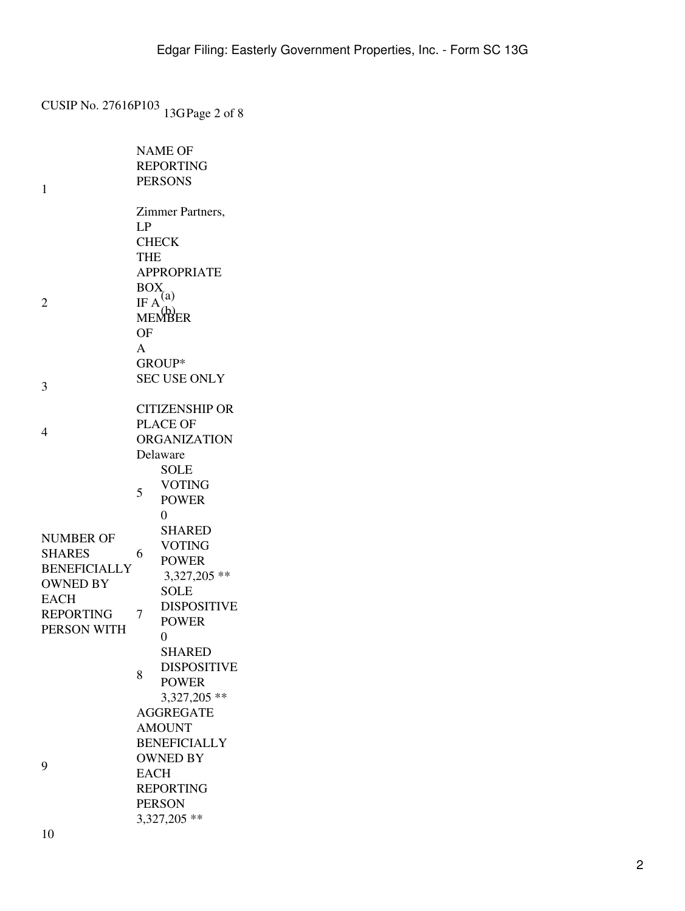CUSIP No. 27616P103 13GPage 2 of 8

| 1                                                                           | <b>NAME OF</b><br><b>REPORTING</b><br><b>PERSONS</b>                                                                  |  |  |
|-----------------------------------------------------------------------------|-----------------------------------------------------------------------------------------------------------------------|--|--|
|                                                                             | Zimmer Partners,<br>LP                                                                                                |  |  |
| 2                                                                           | <b>CHECK</b><br><b>THE</b><br><b>APPROPRIATE</b><br><b>BOX</b><br>IF $A^{(a)}$<br>MEMBER<br><b>OF</b><br>$\mathsf{A}$ |  |  |
|                                                                             | GROUP*                                                                                                                |  |  |
| 3                                                                           | <b>SEC USE ONLY</b>                                                                                                   |  |  |
| 4                                                                           | <b>CITIZENSHIP OR</b><br><b>PLACE OF</b><br><b>ORGANIZATION</b><br>Delaware                                           |  |  |
|                                                                             | SOLE<br><b>VOTING</b><br>5<br><b>POWER</b><br>0                                                                       |  |  |
| <b>NUMBER OF</b><br><b>SHARES</b><br><b>BENEFICIALLY</b><br><b>OWNED BY</b> | SHARED<br><b>VOTING</b><br>6<br><b>POWER</b><br>$3,327,205$ **                                                        |  |  |
| <b>EACH</b><br><b>REPORTING</b><br>PERSON WITH                              | <b>SOLE</b><br><b>DISPOSITIVE</b><br>7<br><b>POWER</b><br>0                                                           |  |  |
|                                                                             | <b>SHARED</b><br><b>DISPOSITIVE</b><br>8<br><b>POWER</b><br>3,327,205 **                                              |  |  |
|                                                                             | <b>AGGREGATE</b><br><b>AMOUNT</b><br><b>BENEFICIALLY</b>                                                              |  |  |
| 9                                                                           | <b>OWNED BY</b>                                                                                                       |  |  |
|                                                                             | <b>EACH</b>                                                                                                           |  |  |
|                                                                             | <b>REPORTING</b><br><b>PERSON</b>                                                                                     |  |  |
|                                                                             | 3,327,205 **                                                                                                          |  |  |
|                                                                             |                                                                                                                       |  |  |

10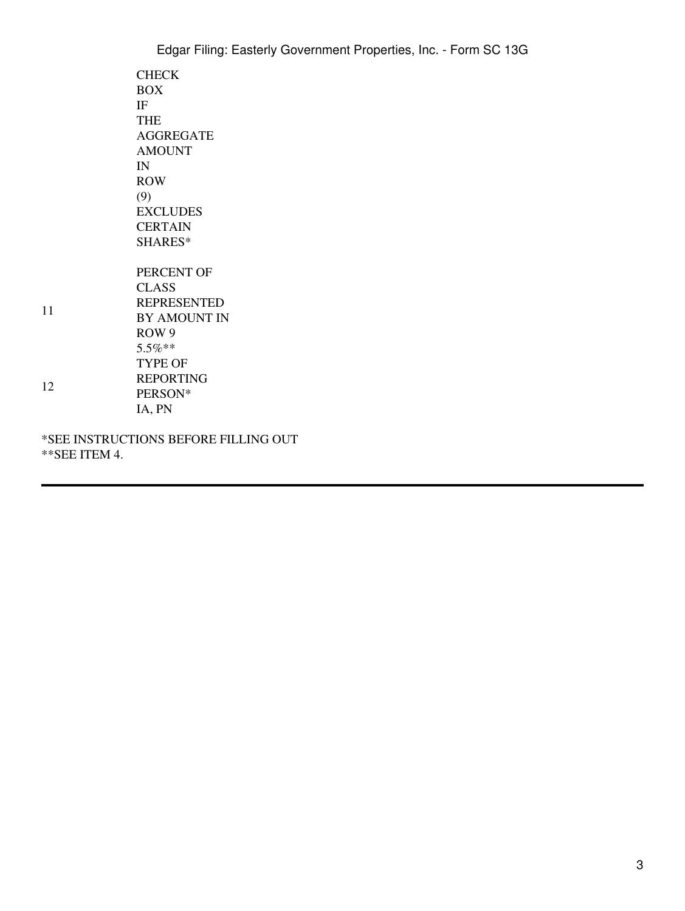|    | Edgar Filing: Easterly Government Properties, Inc. - Form SC 13G                                                                                               |
|----|----------------------------------------------------------------------------------------------------------------------------------------------------------------|
|    | <b>CHECK</b><br><b>BOX</b><br>IF<br><b>THE</b><br><b>AGGREGATE</b><br><b>AMOUNT</b><br>IN<br><b>ROW</b><br>(9)<br><b>EXCLUDES</b><br><b>CERTAIN</b><br>SHARES* |
| 11 | PERCENT OF<br><b>CLASS</b><br><b>REPRESENTED</b><br><b>BY AMOUNT IN</b><br>ROW <sub>9</sub><br>$5.5\%**$                                                       |
| 12 | TYPE OF<br><b>REPORTING</b><br>PERSON*<br>IA, PN                                                                                                               |
|    | *SEE INSTRUCTIONS BEFORE FILLING OUT                                                                                                                           |

\*\*SEE ITEM 4.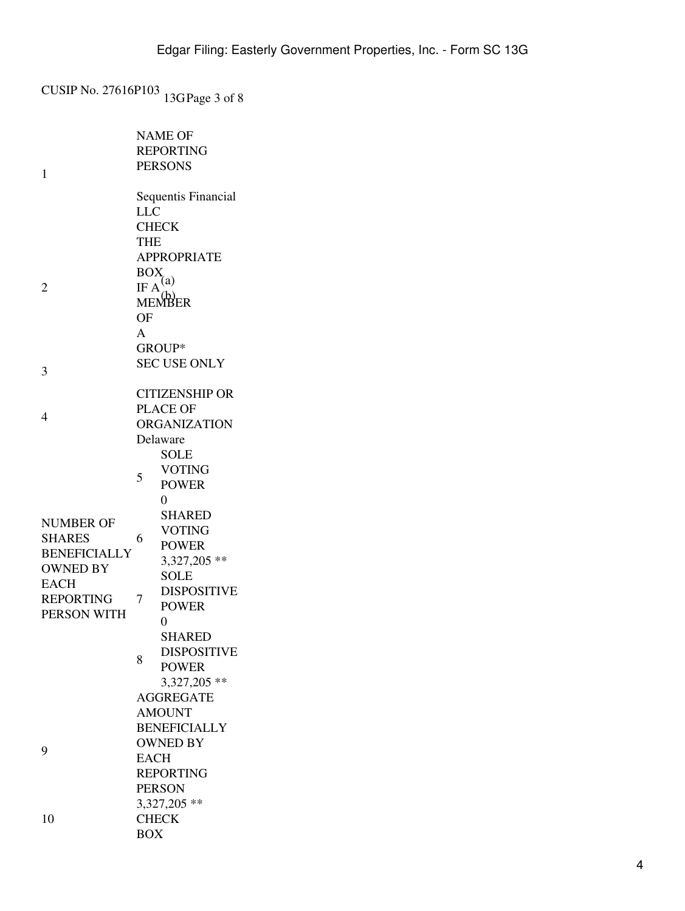CUSIP No. 27616P103 13GPage 3 of 8

|                     | <b>NAME OF</b>                 |  |  |  |
|---------------------|--------------------------------|--|--|--|
|                     | <b>REPORTING</b>               |  |  |  |
| 1                   | <b>PERSONS</b>                 |  |  |  |
|                     |                                |  |  |  |
|                     | Sequentis Financial            |  |  |  |
|                     | <b>LLC</b>                     |  |  |  |
|                     | <b>CHECK</b>                   |  |  |  |
|                     | <b>THE</b>                     |  |  |  |
|                     | <b>APPROPRIATE</b>             |  |  |  |
|                     | <b>BOX</b>                     |  |  |  |
| 2                   | IF $A^{(a)}$<br>MEMBER         |  |  |  |
|                     |                                |  |  |  |
|                     | OF                             |  |  |  |
|                     | A                              |  |  |  |
|                     | GROUP*                         |  |  |  |
| 3                   | <b>SEC USE ONLY</b>            |  |  |  |
|                     | <b>CITIZENSHIP OR</b>          |  |  |  |
|                     | <b>PLACE OF</b>                |  |  |  |
| 4                   | <b>ORGANIZATION</b>            |  |  |  |
|                     | Delaware                       |  |  |  |
|                     | <b>SOLE</b>                    |  |  |  |
|                     | <b>VOTING</b>                  |  |  |  |
|                     | 5<br><b>POWER</b>              |  |  |  |
|                     | 0                              |  |  |  |
| <b>NUMBER OF</b>    | <b>SHARED</b>                  |  |  |  |
| <b>SHARES</b>       | <b>VOTING</b><br>6             |  |  |  |
| <b>BENEFICIALLY</b> | <b>POWER</b>                   |  |  |  |
| <b>OWNED BY</b>     | 3,327,205 **                   |  |  |  |
| <b>EACH</b>         | <b>SOLE</b>                    |  |  |  |
| <b>REPORTING</b>    | <b>DISPOSITIVE</b><br>7        |  |  |  |
| PERSON WITH         | <b>POWER</b>                   |  |  |  |
|                     | 0                              |  |  |  |
|                     | <b>SHARED</b>                  |  |  |  |
|                     | <b>DISPOSITIVE</b><br>8        |  |  |  |
|                     | <b>POWER</b>                   |  |  |  |
|                     | 3,327,205 **                   |  |  |  |
|                     | <b>AGGREGATE</b>               |  |  |  |
|                     | <b>AMOUNT</b>                  |  |  |  |
|                     | <b>BENEFICIALLY</b>            |  |  |  |
| 9                   | <b>OWNED BY</b><br><b>EACH</b> |  |  |  |
|                     | <b>REPORTING</b>               |  |  |  |
|                     | <b>PERSON</b>                  |  |  |  |
|                     | 3,327,205 **                   |  |  |  |
| 10                  | <b>CHECK</b>                   |  |  |  |
|                     | <b>BOX</b>                     |  |  |  |
|                     |                                |  |  |  |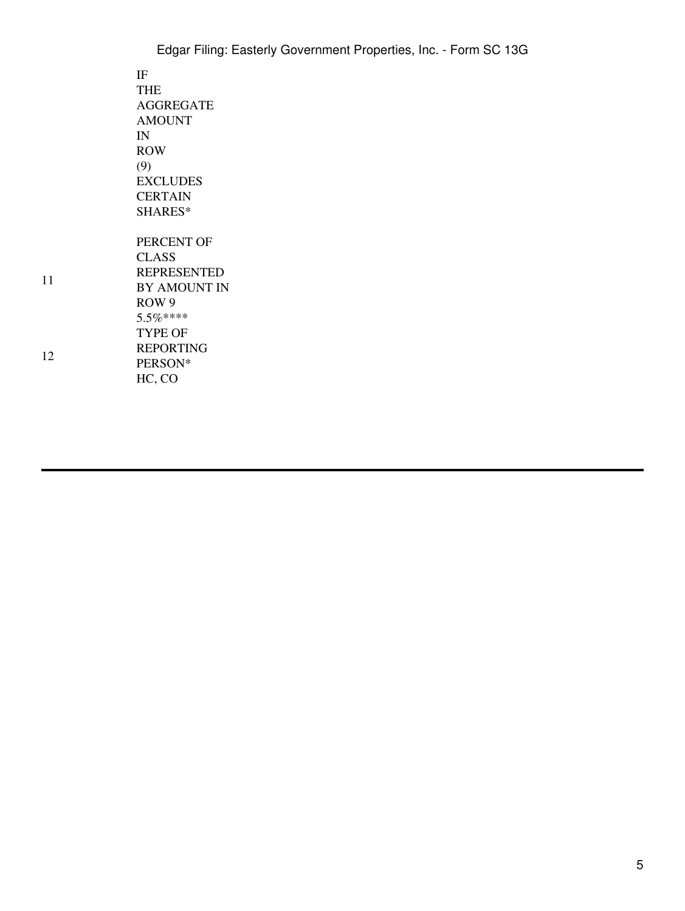| Edgar Filing: Easterly Government Properties, Inc. - Form SC 13G |
|------------------------------------------------------------------|
| IF                                                               |
| <b>THE</b>                                                       |
| <b>AGGREGATE</b>                                                 |
| <b>AMOUNT</b>                                                    |
| IN                                                               |
| <b>ROW</b>                                                       |
| (9)                                                              |
| <b>EXCLUDES</b>                                                  |
| <b>CERTAIN</b>                                                   |
| SHARES*                                                          |
| PERCENT OF                                                       |
| <b>CLASS</b>                                                     |
| <b>REPRESENTED</b>                                               |
| BY AMOUNT IN                                                     |
| ROW <sub>9</sub>                                                 |
| $5.5\%***$                                                       |
| TYPE OF                                                          |
| <b>REPORTING</b>                                                 |
| PERSON*                                                          |
| HC, CO                                                           |

11

12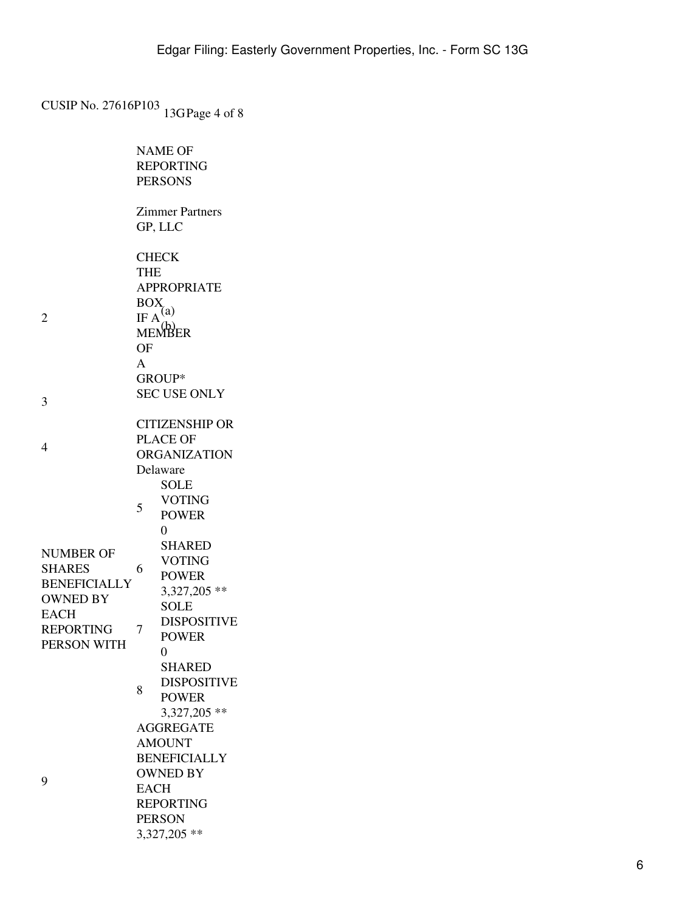CUSIP No. 27616P103 13GPage 4 of 8

|                                                                      | <b>NAME OF</b><br><b>REPORTING</b><br><b>PERSONS</b>                                                                                            |
|----------------------------------------------------------------------|-------------------------------------------------------------------------------------------------------------------------------------------------|
|                                                                      | <b>Zimmer Partners</b><br>GP, LLC                                                                                                               |
| 2                                                                    | <b>CHECK</b><br><b>THE</b><br><b>APPROPRIATE</b><br><b>BOX</b><br>IF $A^{(a)}$<br>MEMBER<br>OF<br>A<br>GROUP*                                   |
| 3                                                                    | <b>SEC USE ONLY</b>                                                                                                                             |
| 4                                                                    | <b>CITIZENSHIP OR</b><br><b>PLACE OF</b><br><b>ORGANIZATION</b><br>Delaware                                                                     |
|                                                                      | <b>SOLE</b><br><b>VOTING</b><br>5<br><b>POWER</b>                                                                                               |
| NUMBER OF<br><b>SHARES</b><br><b>BENEFICIALLY</b><br><b>OWNED BY</b> | $\overline{0}$<br><b>SHARED</b><br><b>VOTING</b><br>6<br><b>POWER</b><br>3,327,205 **<br><b>SOLE</b>                                            |
| EACH<br><b>REPORTING</b><br>PERSON WITH                              | <b>DISPOSITIVE</b><br>7<br><b>POWER</b>                                                                                                         |
|                                                                      | 0<br><b>SHARED</b><br><b>DISPOSITIVE</b><br>8<br><b>POWER</b><br>3,327,205 **                                                                   |
| 9                                                                    | <b>AGGREGATE</b><br><b>AMOUNT</b><br><b>BENEFICIALLY</b><br><b>OWNED BY</b><br><b>EACH</b><br><b>REPORTING</b><br><b>PERSON</b><br>3,327,205 ** |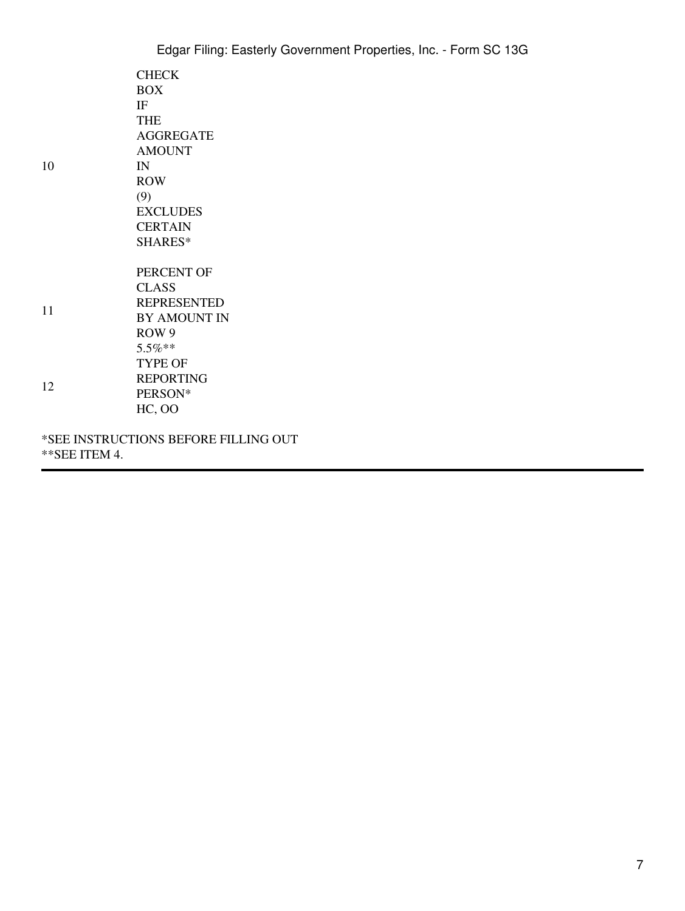| 10           | <b>CHECK</b>                         |
|--------------|--------------------------------------|
|              | <b>BOX</b>                           |
|              | IF                                   |
|              | <b>THE</b><br><b>AGGREGATE</b>       |
|              | <b>AMOUNT</b>                        |
|              | IN                                   |
|              | <b>ROW</b>                           |
|              | (9)                                  |
|              | <b>EXCLUDES</b>                      |
|              | <b>CERTAIN</b>                       |
|              | SHARES*                              |
|              | PERCENT OF                           |
|              | <b>CLASS</b>                         |
| 11           | <b>REPRESENTED</b>                   |
|              | <b>BY AMOUNT IN</b>                  |
|              | ROW <sub>9</sub>                     |
|              | 5.5%**                               |
| 12           | <b>TYPE OF</b>                       |
|              | <b>REPORTING</b>                     |
|              | PERSON*                              |
|              | <b>HC, OO</b>                        |
|              | *SEE INSTRUCTIONS BEFORE FILLING OUT |
| **SEE ITEM 4 |                                      |

\*\*SEE ITEM 4.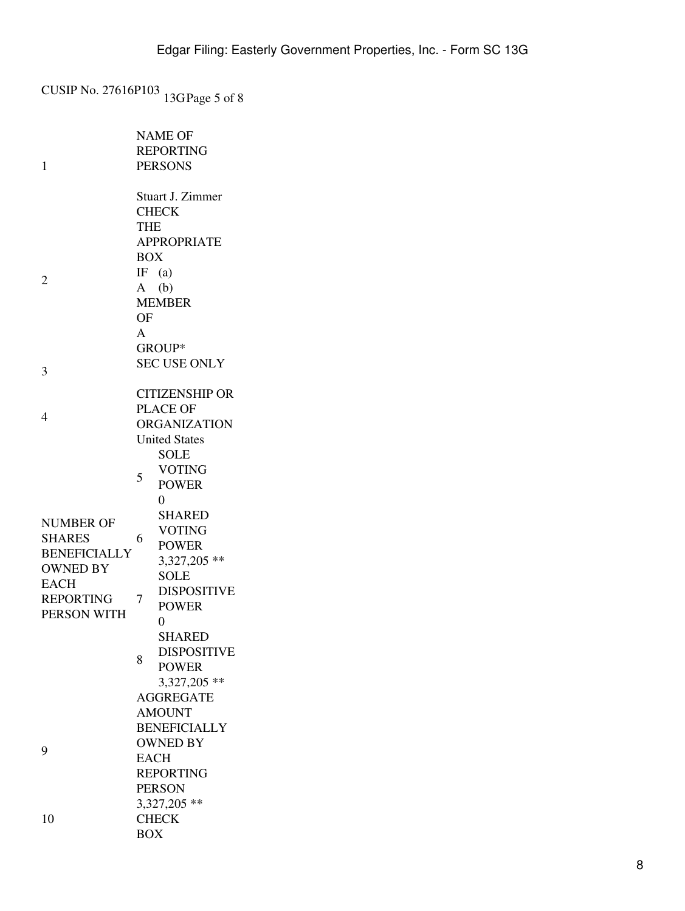CUSIP No. 27616P103 13GPage 5 of 8

|                     |                     | <b>NAME OF</b>               |  |
|---------------------|---------------------|------------------------------|--|
|                     |                     | <b>REPORTING</b>             |  |
| 1                   |                     | <b>PERSONS</b>               |  |
|                     |                     |                              |  |
|                     |                     | Stuart J. Zimmer             |  |
|                     | <b>CHECK</b>        |                              |  |
|                     | THE                 |                              |  |
|                     | <b>APPROPRIATE</b>  |                              |  |
|                     | <b>BOX</b>          |                              |  |
| 2                   | IF $(a)$            |                              |  |
|                     | $A$ (b)             |                              |  |
|                     |                     | <b>MEMBER</b>                |  |
|                     | OF                  |                              |  |
|                     | $\mathsf{A}$        |                              |  |
|                     |                     | GROUP*                       |  |
| 3                   | <b>SEC USE ONLY</b> |                              |  |
|                     |                     |                              |  |
|                     |                     | <b>CITIZENSHIP OR</b>        |  |
| 4                   | <b>PLACE OF</b>     |                              |  |
|                     |                     | <b>ORGANIZATION</b>          |  |
|                     |                     | <b>United States</b>         |  |
|                     |                     | <b>SOLE</b><br><b>VOTING</b> |  |
|                     | 5                   | <b>POWER</b>                 |  |
|                     |                     | 0                            |  |
|                     |                     | <b>SHARED</b>                |  |
| <b>NUMBER OF</b>    |                     | <b>VOTING</b>                |  |
| <b>SHARES</b>       | 6                   | <b>POWER</b>                 |  |
| <b>BENEFICIALLY</b> |                     | 3,327,205 **                 |  |
| <b>OWNED BY</b>     |                     | <b>SOLE</b>                  |  |
| <b>EACH</b>         |                     | <b>DISPOSITIVE</b>           |  |
| <b>REPORTING</b>    | 7                   | <b>POWER</b>                 |  |
| PERSON WITH         |                     | $\overline{0}$               |  |
|                     |                     | <b>SHARED</b>                |  |
|                     |                     | <b>DISPOSITIVE</b>           |  |
|                     | 8                   | <b>POWER</b>                 |  |
|                     |                     | 3,327,205 **                 |  |
| 9                   | <b>AGGREGATE</b>    |                              |  |
|                     | <b>AMOUNT</b>       |                              |  |
|                     | <b>BENEFICIALLY</b> |                              |  |
|                     | <b>OWNED BY</b>     |                              |  |
|                     | <b>EACH</b>         |                              |  |
|                     | <b>REPORTING</b>    |                              |  |
|                     | <b>PERSON</b>       |                              |  |
|                     |                     | 3,327,205 **                 |  |
| 10                  | <b>CHECK</b>        |                              |  |
|                     | <b>BOX</b>          |                              |  |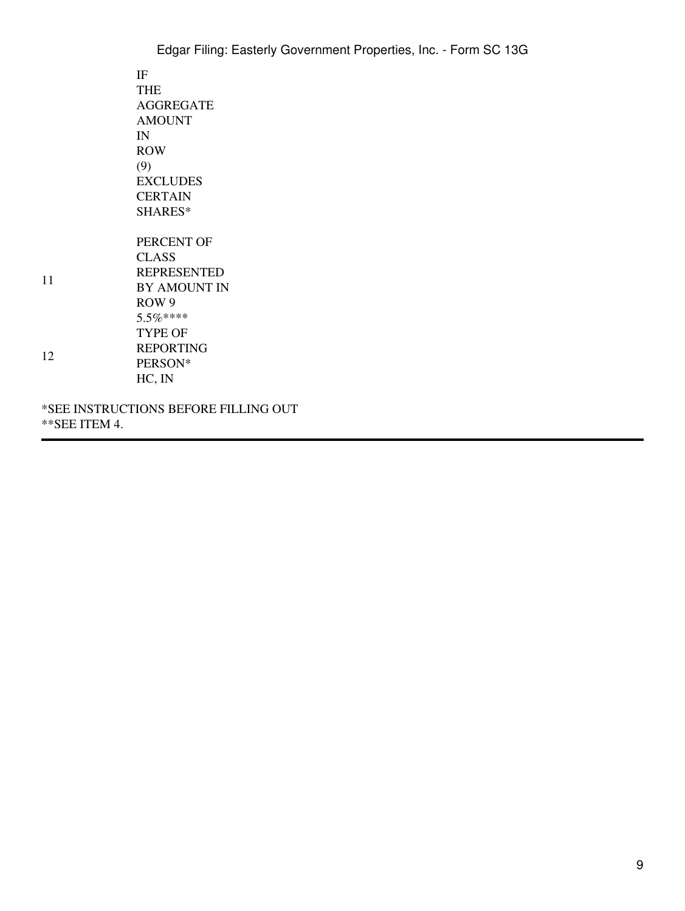|          | Edgar Filing: Easterly Government Properties, Inc. - Form SC 13G                                                                                              |
|----------|---------------------------------------------------------------------------------------------------------------------------------------------------------------|
|          | IF<br><b>THE</b><br><b>AGGREGATE</b><br><b>AMOUNT</b><br>IN<br><b>ROW</b><br>(9)<br><b>EXCLUDES</b>                                                           |
|          | <b>CERTAIN</b><br>SHARES*                                                                                                                                     |
| 11<br>12 | PERCENT OF<br><b>CLASS</b><br><b>REPRESENTED</b><br>BY AMOUNT IN<br>ROW <sub>9</sub><br>$5.5\%***$<br><b>TYPE OF</b><br><b>REPORTING</b><br>PERSON*<br>HC, IN |
|          | *SEE INSTRUCTIONS BEFORE FILLING OUT                                                                                                                          |

\*\*SEE ITEM 4.

11

12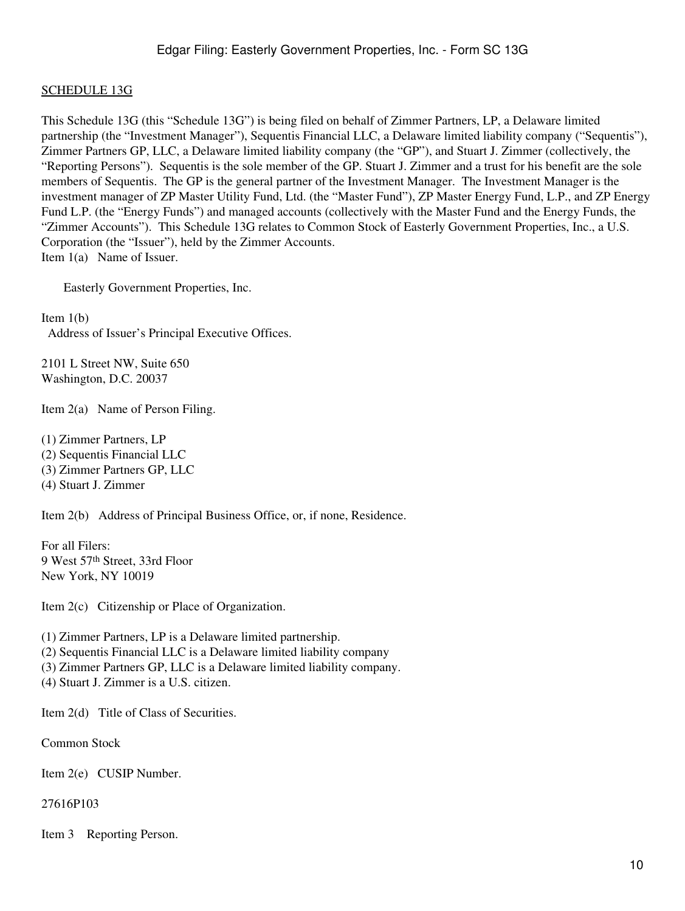### SCHEDULE 13G

This Schedule 13G (this "Schedule 13G") is being filed on behalf of Zimmer Partners, LP, a Delaware limited partnership (the "Investment Manager"), Sequentis Financial LLC, a Delaware limited liability company ("Sequentis"), Zimmer Partners GP, LLC, a Delaware limited liability company (the "GP"), and Stuart J. Zimmer (collectively, the "Reporting Persons"). Sequentis is the sole member of the GP. Stuart J. Zimmer and a trust for his benefit are the sole members of Sequentis. The GP is the general partner of the Investment Manager. The Investment Manager is the investment manager of ZP Master Utility Fund, Ltd. (the "Master Fund"), ZP Master Energy Fund, L.P., and ZP Energy Fund L.P. (the "Energy Funds") and managed accounts (collectively with the Master Fund and the Energy Funds, the "Zimmer Accounts"). This Schedule 13G relates to Common Stock of Easterly Government Properties, Inc., a U.S. Corporation (the "Issuer"), held by the Zimmer Accounts. Item 1(a) Name of Issuer.

Easterly Government Properties, Inc.

Item 1(b) Address of Issuer's Principal Executive Offices.

2101 L Street NW, Suite 650 Washington, D.C. 20037

Item 2(a) Name of Person Filing.

(1) Zimmer Partners, LP (2) Sequentis Financial LLC (3) Zimmer Partners GP, LLC (4) Stuart J. Zimmer

Item 2(b) Address of Principal Business Office, or, if none, Residence.

For all Filers: 9 West 57th Street, 33rd Floor New York, NY 10019

Item 2(c) Citizenship or Place of Organization.

(1) Zimmer Partners, LP is a Delaware limited partnership.

(2) Sequentis Financial LLC is a Delaware limited liability company

(3) Zimmer Partners GP, LLC is a Delaware limited liability company.

(4) Stuart J. Zimmer is a U.S. citizen.

Item 2(d) Title of Class of Securities.

Common Stock

Item 2(e) CUSIP Number.

27616P103

Item 3 Reporting Person.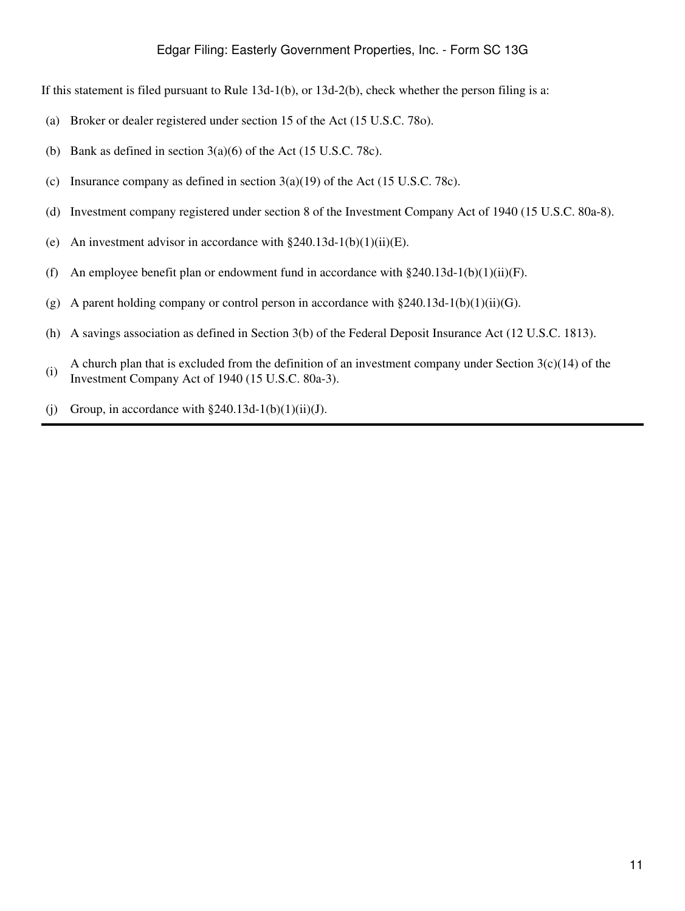If this statement is filed pursuant to Rule 13d-1(b), or 13d-2(b), check whether the person filing is a:

- (a) Broker or dealer registered under section 15 of the Act (15 U.S.C. 78o).
- (b) Bank as defined in section 3(a)(6) of the Act (15 U.S.C. 78c).
- (c) Insurance company as defined in section  $3(a)(19)$  of the Act (15 U.S.C. 78c).
- (d) Investment company registered under section 8 of the Investment Company Act of 1940 (15 U.S.C. 80a-8).
- (e) An investment advisor in accordance with  $\S 240.13d-1(b)(1)(ii)(E)$ .
- (f) An employee benefit plan or endowment fund in accordance with  $\S 240.13d-1(b)(1)(ii)(F)$ .
- (g) A parent holding company or control person in accordance with  $\S 240.13d-1(b)(1)(ii)(G)$ .
- (h) A savings association as defined in Section 3(b) of the Federal Deposit Insurance Act (12 U.S.C. 1813).
- (i) A church plan that is excluded from the definition of an investment company under Section 3(c)(14) of the Investment Company Act of 1940 (15 U.S.C. 80a-3).
- (j) Group, in accordance with  $\S 240.13d-1(b)(1)(ii)(J)$ .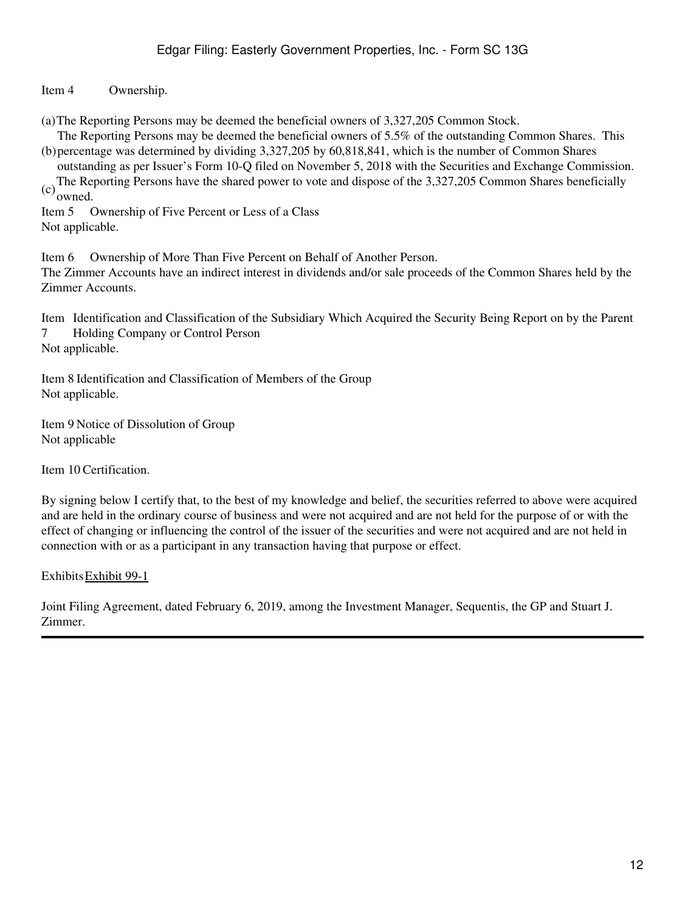Item 4 Ownership.

(a)The Reporting Persons may be deemed the beneficial owners of 3,327,205 Common Stock.

(b) percentage was determined by dividing 3,327,205 by 60,818,841, which is the number of Common Shares The Reporting Persons may be deemed the beneficial owners of 5.5% of the outstanding Common Shares. This

outstanding as per Issuer's Form 10-Q filed on November 5, 2018 with the Securities and Exchange Commission. (c)The Reporting Persons have the shared power to vote and dispose of the 3,327,205 Common Shares beneficially owned.

Item 5 Ownership of Five Percent or Less of a Class Not applicable.

Item 6 Ownership of More Than Five Percent on Behalf of Another Person.

The Zimmer Accounts have an indirect interest in dividends and/or sale proceeds of the Common Shares held by the Zimmer Accounts.

Item Identification and Classification of the Subsidiary Which Acquired the Security Being Report on by the Parent 7 Holding Company or Control Person

Not applicable.

Item 8 Identification and Classification of Members of the Group Not applicable.

Item 9 Notice of Dissolution of Group Not applicable

Item 10 Certification.

By signing below I certify that, to the best of my knowledge and belief, the securities referred to above were acquired and are held in the ordinary course of business and were not acquired and are not held for the purpose of or with the effect of changing or influencing the control of the issuer of the securities and were not acquired and are not held in connection with or as a participant in any transaction having that purpose or effect.

ExhibitsExhibit 99-1

Joint Filing Agreement, dated February 6, 2019, among the Investment Manager, Sequentis, the GP and Stuart J. Zimmer.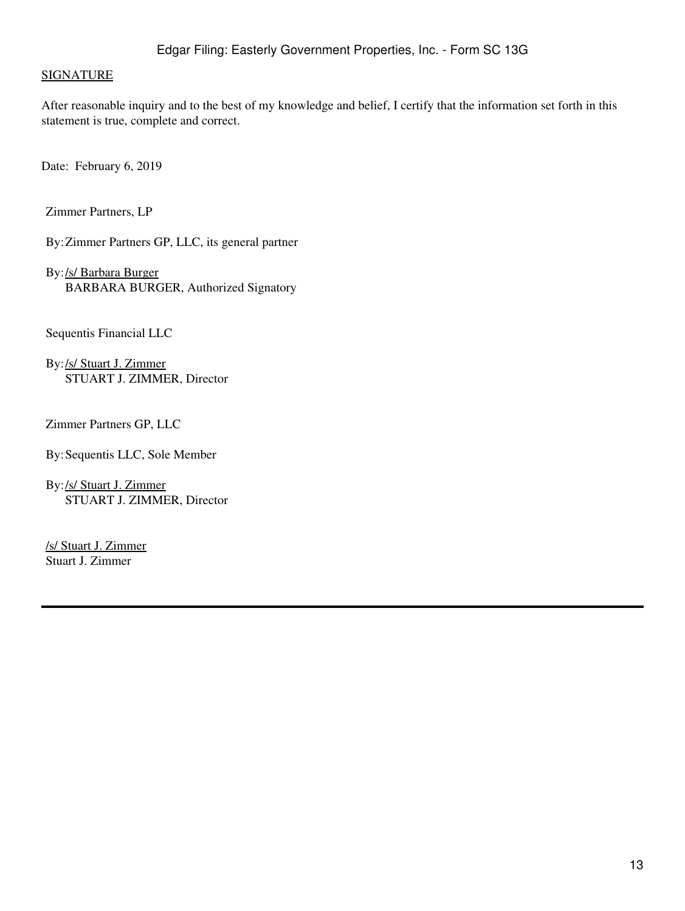### **SIGNATURE**

After reasonable inquiry and to the best of my knowledge and belief, I certify that the information set forth in this statement is true, complete and correct.

Date: February 6, 2019

Zimmer Partners, LP

By:Zimmer Partners GP, LLC, its general partner

By:/s/ Barbara Burger BARBARA BURGER, Authorized Signatory

Sequentis Financial LLC

By:/s/ Stuart J. Zimmer STUART J. ZIMMER, Director

Zimmer Partners GP, LLC

By:Sequentis LLC, Sole Member

By:/s/ Stuart J. Zimmer STUART J. ZIMMER, Director

/s/ Stuart J. Zimmer Stuart J. Zimmer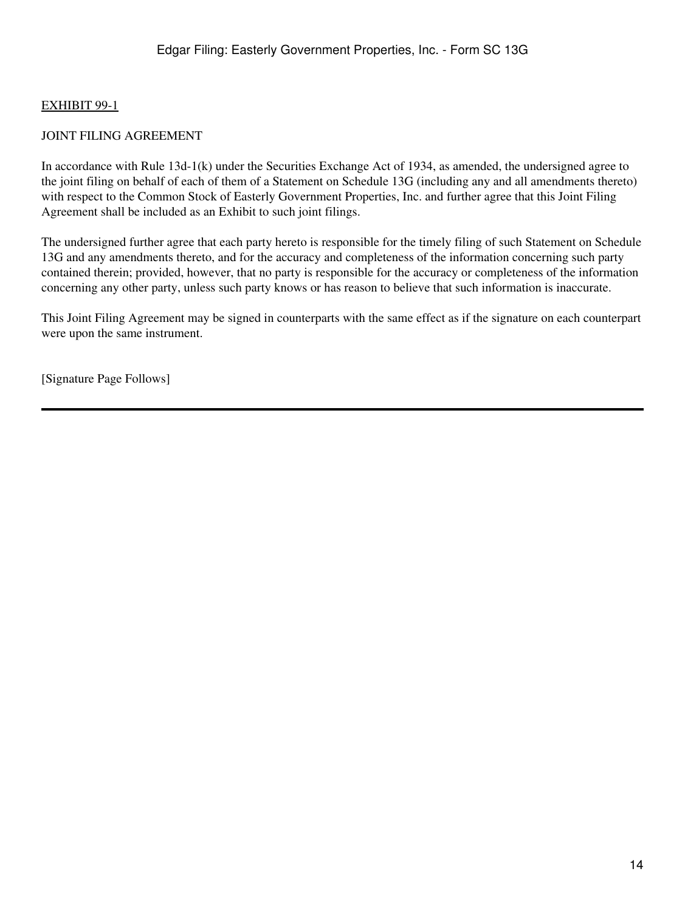## EXHIBIT 99-1

## JOINT FILING AGREEMENT

In accordance with Rule 13d-1(k) under the Securities Exchange Act of 1934, as amended, the undersigned agree to the joint filing on behalf of each of them of a Statement on Schedule 13G (including any and all amendments thereto) with respect to the Common Stock of Easterly Government Properties, Inc. and further agree that this Joint Filing Agreement shall be included as an Exhibit to such joint filings.

The undersigned further agree that each party hereto is responsible for the timely filing of such Statement on Schedule 13G and any amendments thereto, and for the accuracy and completeness of the information concerning such party contained therein; provided, however, that no party is responsible for the accuracy or completeness of the information concerning any other party, unless such party knows or has reason to believe that such information is inaccurate.

This Joint Filing Agreement may be signed in counterparts with the same effect as if the signature on each counterpart were upon the same instrument.

[Signature Page Follows]